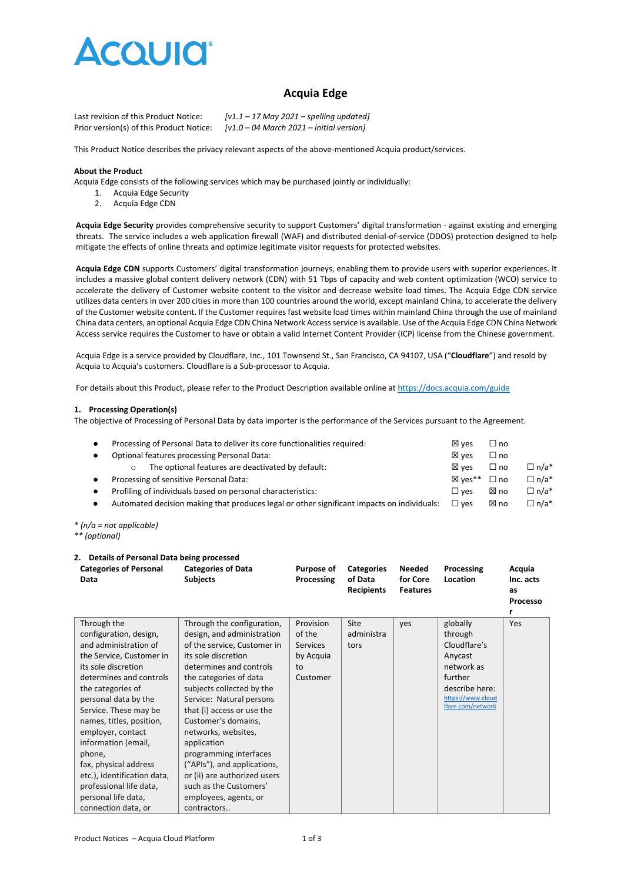

# **Acquia Edge**

Last revision of this Product Notice: *[v1.1 – 17 May 2021 – spelling updated]* Prior version(s) of this Product Notice: *[v1.0 – 04 March 2021 – initial version]*

This Product Notice describes the privacy relevant aspects of the above-mentioned Acquia product/services.

#### **About the Product**

Acquia Edge consists of the following services which may be purchased jointly or individually:

- 1. Acquia Edge Security
- 2. Acquia Edge CDN

**Acquia Edge Security** provides comprehensive security to support Customers' digital transformation - against existing and emerging threats. The service includes a web application firewall (WAF) and distributed denial-of-service (DDOS) protection designed to help mitigate the effects of online threats and optimize legitimate visitor requests for protected websites.

**Acquia Edge CDN** supports Customers' digital transformation journeys, enabling them to provide users with superior experiences. It includes a massive global content delivery network (CDN) with 51 Tbps of capacity and web content optimization (WCO) service to accelerate the delivery of Customer website content to the visitor and decrease website load times. The Acquia Edge CDN service utilizes data centers in over 200 cities in more than 100 countries around the world, except mainland China, to accelerate the delivery of the Customer website content. If the Customer requires fast website load times within mainland China through the use of mainland China data centers, an optional Acquia Edge CDN China Network Access service is available. Use of the Acquia Edge CDN China Network Access service requires the Customer to have or obtain a valid Internet Content Provider (ICP) license from the Chinese government.

Acquia Edge is a service provided by Cloudflare, Inc., 101 Townsend St., San Francisco, CA 94107, USA ("**Cloudflare**") and resold by Acquia to Acquia's customers. Cloudflare is a Sub-processor to Acquia.

For details about this Product, please refer to the Product Description available online a[t https://docs.acquia.com/guide](https://docs.acquia.com/guide)

#### **1. Processing Operation(s)**

The objective of Processing of Personal Data by data importer is the performance of the Services pursuant to the Agreement.

| Processing of Personal Data to deliver its core functionalities required:                  | $\boxtimes$ ves | $\square$ no  |             |
|--------------------------------------------------------------------------------------------|-----------------|---------------|-------------|
| Optional features processing Personal Data:                                                | $\boxtimes$ ves | $\Box$ no     |             |
| The optional features are deactivated by default:                                          | ⊠ ves           | $\Box$ no     | $\Box$ n/a* |
| Processing of sensitive Personal Data:                                                     | ⊠ ves**         | $\Box$ no     | $\Box$ n/a* |
| Profiling of individuals based on personal characteristics:<br>$\bullet$                   |                 | ⊠ no          | $\Box$ n/a* |
| Automated decision making that produces legal or other significant impacts on individuals: | $\square$ ves   | ⊠ no          | $\Box$ n/a* |
|                                                                                            |                 | $\square$ ves |             |

*\* (n/a = not applicable)*

*\*\* (optional)*

## **2. Details of Personal Data being processed**

| <b>Categories of Personal</b><br>Data                                                                                                                                                                           | <b>Categories of Data</b><br><b>Subjects</b>                                                                                                                                                                                 | Purpose of<br>Processing                                 | <b>Categories</b><br>of Data<br><b>Recipients</b> | Needed<br>for Core<br><b>Features</b> | Processing<br>Location                                                                                                  | Acquia<br>Inc. acts<br>as<br>Processo |
|-----------------------------------------------------------------------------------------------------------------------------------------------------------------------------------------------------------------|------------------------------------------------------------------------------------------------------------------------------------------------------------------------------------------------------------------------------|----------------------------------------------------------|---------------------------------------------------|---------------------------------------|-------------------------------------------------------------------------------------------------------------------------|---------------------------------------|
| configuration, design,<br>and administration of<br>the Service, Customer in<br>its sole discretion<br>determines and controls<br>the categories of<br>personal data by the<br>Service. These may be             | design, and administration<br>of the service, Customer in<br>its sole discretion<br>determines and controls<br>the categories of data<br>subjects collected by the<br>Service: Natural persons<br>that (i) access or use the | of the<br><b>Services</b><br>by Acquia<br>to<br>Customer | administra<br>tors                                |                                       | through<br>Cloudflare's<br>Anycast<br>network as<br>further<br>describe here:<br>https://www.cloud<br>flare.com/network |                                       |
| names, titles, position,<br>employer, contact<br>information (email,<br>phone,<br>fax, physical address<br>etc.), identification data,<br>professional life data,<br>personal life data,<br>connection data, or | Customer's domains,<br>networks, websites,<br>application<br>programming interfaces<br>("APIs"), and applications,<br>or (ii) are authorized users<br>such as the Customers'<br>employees, agents, or<br>contractors         |                                                          |                                                   |                                       |                                                                                                                         |                                       |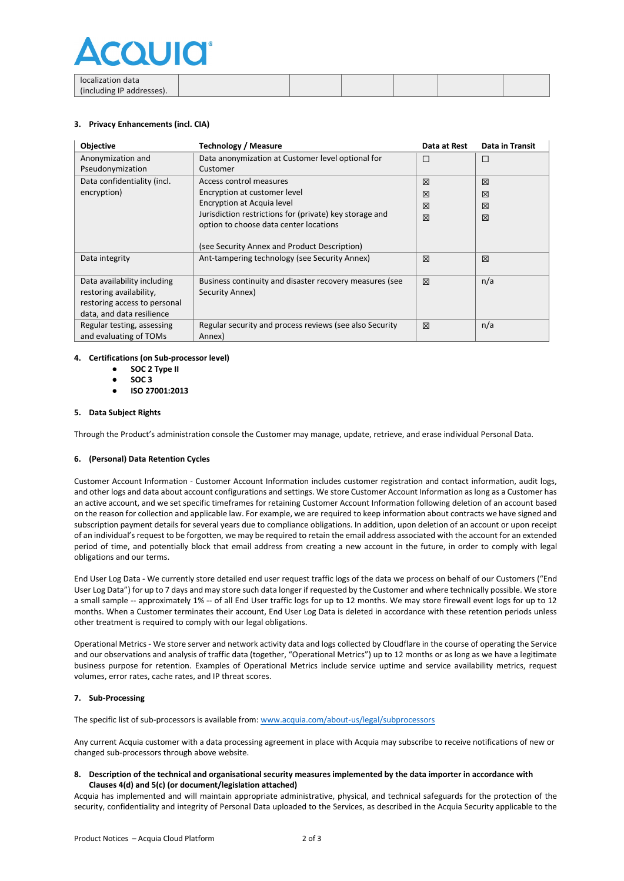

| localization data         |  |  |  |
|---------------------------|--|--|--|
| (including IP addresses). |  |  |  |

## **3. Privacy Enhancements (incl. CIA)**

| Objective                    | <b>Technology / Measure</b>                             | Data at Rest | <b>Data in Transit</b> |
|------------------------------|---------------------------------------------------------|--------------|------------------------|
| Anonymization and            | Data anonymization at Customer level optional for       | п            | $\Box$                 |
| Pseudonymization             | Customer                                                |              |                        |
| Data confidentiality (incl.  | Access control measures                                 | 区            | 区                      |
| encryption)                  | Encryption at customer level                            | ⊠            | 区                      |
|                              | Encryption at Acquia level                              | 冈            | 冈                      |
|                              | Jurisdiction restrictions for (private) key storage and | 区            | 区                      |
|                              | option to choose data center locations                  |              |                        |
|                              | (see Security Annex and Product Description)            |              |                        |
| Data integrity               | Ant-tampering technology (see Security Annex)           | X            | 区                      |
|                              |                                                         |              |                        |
| Data availability including  | Business continuity and disaster recovery measures (see | 区            | n/a                    |
| restoring availability,      | Security Annex)                                         |              |                        |
| restoring access to personal |                                                         |              |                        |
| data, and data resilience    |                                                         |              |                        |
| Regular testing, assessing   | Regular security and process reviews (see also Security | 区            | n/a                    |
| and evaluating of TOMs       | Annex)                                                  |              |                        |

## **4. Certifications (on Sub-processor level)**

- **SOC 2 Type II**
- **SOC 3**
- **ISO 27001:2013**

## **5. Data Subject Rights**

Through the Product's administration console the Customer may manage, update, retrieve, and erase individual Personal Data.

## **6. (Personal) Data Retention Cycles**

Customer Account Information - Customer Account Information includes customer registration and contact information, audit logs, and other logs and data about account configurations and settings. We store Customer Account Information as long as a Customer has an active account, and we set specific timeframes for retaining Customer Account Information following deletion of an account based on the reason for collection and applicable law. For example, we are required to keep information about contracts we have signed and subscription payment details for several years due to compliance obligations. In addition, upon deletion of an account or upon receipt of an individual's request to be forgotten, we may be required to retain the email address associated with the account for an extended period of time, and potentially block that email address from creating a new account in the future, in order to comply with legal obligations and our terms.

End User Log Data - We currently store detailed end user request traffic logs of the data we process on behalf of our Customers ("End User Log Data") for up to 7 days and may store such data longer if requested by the Customer and where technically possible. We store a small sample -- approximately 1% -- of all End User traffic logs for up to 12 months. We may store firewall event logs for up to 12 months. When a Customer terminates their account, End User Log Data is deleted in accordance with these retention periods unless other treatment is required to comply with our legal obligations.

Operational Metrics - We store server and network activity data and logs collected by Cloudflare in the course of operating the Service and our observations and analysis of traffic data (together, "Operational Metrics") up to 12 months or as long as we have a legitimate business purpose for retention. Examples of Operational Metrics include service uptime and service availability metrics, request volumes, error rates, cache rates, and IP threat scores.

## **7. Sub-Processing**

The specific list of sub-processors is available from: [www.acquia.com/about-us/legal/subprocessors](http://www.acquia.com/about-us/legal/subprocessors)

Any current Acquia customer with a data processing agreement in place with Acquia may subscribe to receive notifications of new or changed sub-processors through above website.

**8. Description of the technical and organisational security measures implemented by the data importer in accordance with Clauses 4(d) and 5(c) (or document/legislation attached)**

Acquia has implemented and will maintain appropriate administrative, physical, and technical safeguards for the protection of the security, confidentiality and integrity of Personal Data uploaded to the Services, as described in the Acquia Security applicable to the